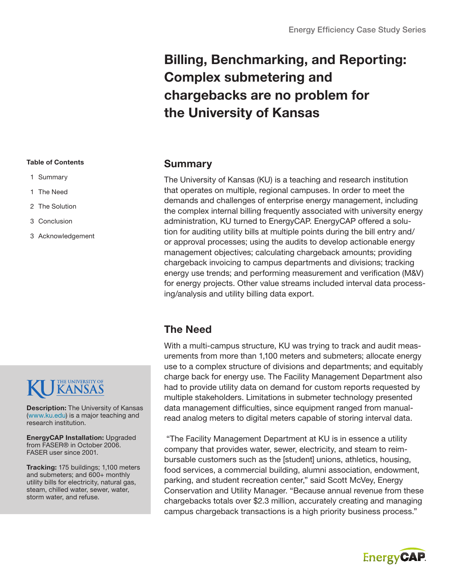## Billing, Benchmarking, and Reporting: Complex submetering and chargebacks are no problem for the University of Kansas

### Summary

The University of Kansas (KU) is a teaching and research institution that operates on multiple, regional campuses. In order to meet the demands and challenges of enterprise energy management, including the complex internal billing frequently associated with university energy administration, KU turned to EnergyCAP. EnergyCAP offered a solution for auditing utility bills at multiple points during the bill entry and/ or approval processes; using the audits to develop actionable energy management objectives; calculating chargeback amounts; providing chargeback invoicing to campus departments and divisions; tracking energy use trends; and performing measurement and verification (M&V) for energy projects. Other value streams included interval data processing/analysis and utility billing data export.

### The Need

With a multi-campus structure, KU was trying to track and audit measurements from more than 1,100 meters and submeters; allocate energy use to a complex structure of divisions and departments; and equitably charge back for energy use. The Facility Management Department also had to provide utility data on demand for custom reports requested by multiple stakeholders. Limitations in submeter technology presented data management difficulties, since equipment ranged from manualread analog meters to digital meters capable of storing interval data.

 "The Facility Management Department at KU is in essence a utility company that provides water, sewer, electricity, and steam to reimbursable customers such as the [student] unions, athletics, housing, food services, a commercial building, alumni association, endowment, parking, and student recreation center," said Scott McVey, Energy Conservation and Utility Manager. "Because annual revenue from these chargebacks totals over \$2.3 million, accurately creating and managing campus chargeback transactions is a high priority business process."



#### Table of Contents

- 1 Summary
- 1 The Need
- 2 The Solution
- 3 Conclusion
- 3 Acknowledgement

# THE UNIVERSITY OF

**Description:** The University of Kansas [\(www.ku.edu\)](http://www.ku.edu) is a major teaching and research institution.

EnergyCAP Installation: Upgraded from FASER® in October 2006. FASER user since 2001.

Tracking: 175 buildings; 1,100 meters and submeters; and 600+ monthly utility bills for electricity, natural gas, steam, chilled water, sewer, water, storm water, and refuse.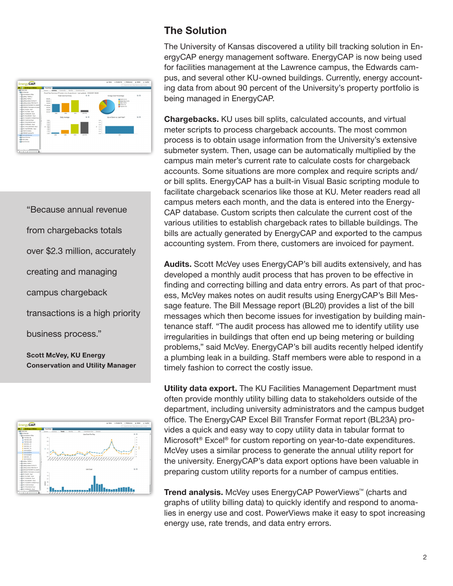

"Because annual revenue from chargebacks totals over \$2.3 million, accurately creating and managing campus chargeback transactions is a high priority

business process."

Scott McVey, KU Energy Conservation and Utility Manager



### The Solution

The University of Kansas discovered a utility bill tracking solution in EnergyCAP energy management software. EnergyCAP is now being used for facilities management at the Lawrence campus, the Edwards campus, and several other KU-owned buildings. Currently, energy accounting data from about 90 percent of the University's property portfolio is being managed in EnergyCAP.

Chargebacks. KU uses bill splits, calculated accounts, and virtual meter scripts to process chargeback accounts. The most common process is to obtain usage information from the University's extensive submeter system. Then, usage can be automatically multiplied by the campus main meter's current rate to calculate costs for chargeback accounts. Some situations are more complex and require scripts and/ or bill splits. EnergyCAP has a built-in Visual Basic scripting module to facilitate chargeback scenarios like those at KU. Meter readers read all campus meters each month, and the data is entered into the Energy-CAP database. Custom scripts then calculate the current cost of the various utilities to establish chargeback rates to billable buildings. The bills are actually generated by EnergyCAP and exported to the campus accounting system. From there, customers are invoiced for payment.

Audits. Scott McVey uses EnergyCAP's bill audits extensively, and has developed a monthly audit process that has proven to be effective in finding and correcting billing and data entry errors. As part of that process, McVey makes notes on audit results using EnergyCAP's Bill Message feature. The Bill Message report (BL20) provides a list of the bill messages which then become issues for investigation by building maintenance staff. "The audit process has allowed me to identify utility use irregularities in buildings that often end up being metering or building problems," said McVey. EnergyCAP's bill audits recently helped identify a plumbing leak in a building. Staff members were able to respond in a timely fashion to correct the costly issue.

Utility data export. The KU Facilities Management Department must often provide monthly utility billing data to stakeholders outside of the department, including university administrators and the campus budget office. The EnergyCAP Excel Bill Transfer Format report (BL23A) provides a quick and easy way to copy utility data in tabular format to Microsoft® Excel® for custom reporting on year-to-date expenditures. McVey uses a similar process to generate the annual utility report for the university. EnergyCAP's data export options have been valuable in preparing custom utility reports for a number of campus entities.

Trend analysis. McVey uses EnergyCAP PowerViews<sup>™</sup> (charts and graphs of utility billing data) to quickly identify and respond to anomalies in energy use and cost. PowerViews make it easy to spot increasing energy use, rate trends, and data entry errors.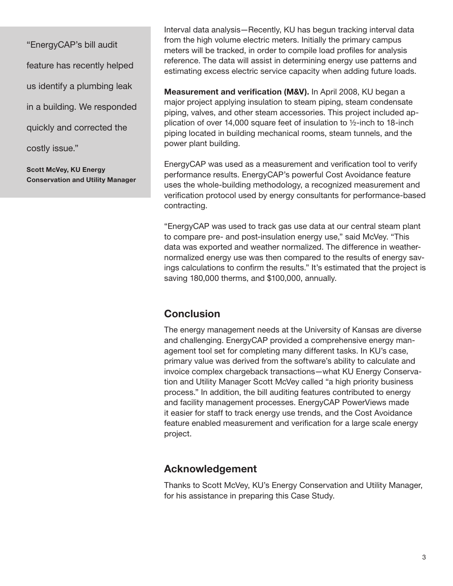"EnergyCAP's bill audit feature has recently helped us identify a plumbing leak in a building. We responded quickly and corrected the costly issue." Scott McVey, KU Energy

Conservation and Utility Manager

Interval data analysis—Recently, KU has begun tracking interval data from the high volume electric meters. Initially the primary campus meters will be tracked, in order to compile load profiles for analysis reference. The data will assist in determining energy use patterns and estimating excess electric service capacity when adding future loads.

Measurement and verification (M&V). In April 2008, KU began a major project applying insulation to steam piping, steam condensate piping, valves, and other steam accessories. This project included application of over 14,000 square feet of insulation to ½-inch to 18-inch piping located in building mechanical rooms, steam tunnels, and the power plant building.

EnergyCAP was used as a measurement and verification tool to verify performance results. EnergyCAP's powerful Cost Avoidance feature uses the whole-building methodology, a recognized measurement and verification protocol used by energy consultants for performance-based contracting.

"EnergyCAP was used to track gas use data at our central steam plant to compare pre- and post-insulation energy use," said McVey. "This data was exported and weather normalized. The difference in weathernormalized energy use was then compared to the results of energy savings calculations to confirm the results." It's estimated that the project is saving 180,000 therms, and \$100,000, annually.

### **Conclusion**

The energy management needs at the University of Kansas are diverse and challenging. EnergyCAP provided a comprehensive energy management tool set for completing many different tasks. In KU's case, primary value was derived from the software's ability to calculate and invoice complex chargeback transactions—what KU Energy Conservation and Utility Manager Scott McVey called "a high priority business process." In addition, the bill auditing features contributed to energy and facility management processes. EnergyCAP PowerViews made it easier for staff to track energy use trends, and the Cost Avoidance feature enabled measurement and verification for a large scale energy project.

### Acknowledgement

Thanks to Scott McVey, KU's Energy Conservation and Utility Manager, for his assistance in preparing this Case Study.